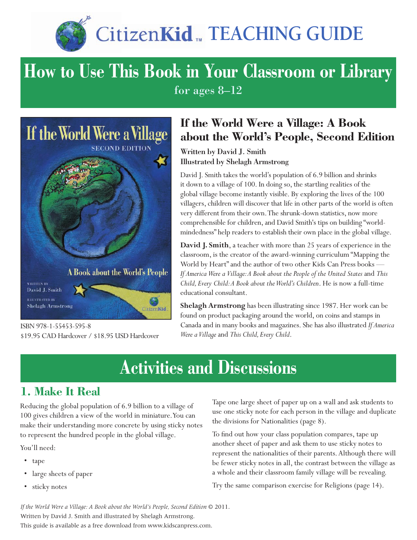

# **CitizenKid ... TEACHING GUIDE**

### **How to Use This Book in Your Classroom or Library** for ages 8–12



**ILLUSTRATED BY Shelagh Armstrong** 

ISBN 978-1-55453-595-8 \$19.95 CAD Hardcover / \$18.95 USD Hardcover

### **If the World Were a Village: A Book about the World's People, Second Edition**

Written by David J. Smith Illustrated by Shelagh Armstrong

David J. Smith takes the world's population of 6.9 billion and shrinks it down to a village of 100. In doing so, the startling realities of the global village become instantly visible. By exploring the lives of the 100 villagers, children will discover that life in other parts of the world is often very different from their own. The shrunk-down statistics, now more comprehensible for children, and David Smith's tips on building "worldmindedness" help readers to establish their own place in the global village.

**David J. Smith**, a teacher with more than 25 years of experience in the classroom, is the creator of the award-winning curriculum "Mapping the World by Heart" and the author of two other Kids Can Press books — *If America Were a Village: A Book about the People of the United States* and *This Child, Every Child: A Book about the World's Children*. He is now a full-time educational consultant.

**Shelagh Armstrong** has been illustrating since 1987. Her work can be found on product packaging around the world, on coins and stamps in Canada and in many books and magazines. She has also illustrated *If America Were a Village* and *This Child, Every Child*.

## **Activities and Discussions**

Citizen Kid

### **1. Make It Real**

Reducing the global population of 6.9 billion to a village of 100 gives children a view of the world in miniature. You can make their understanding more concrete by using sticky notes to represent the hundred people in the global village.

You'll need:

- • tape
- large sheets of paper
- sticky notes

Tape one large sheet of paper up on a wall and ask students to use one sticky note for each person in the village and duplicate the divisions for Nationalities (page 8).

To find out how your class population compares, tape up another sheet of paper and ask them to use sticky notes to represent the nationalities of their parents. Although there will be fewer sticky notes in all, the contrast between the village as a whole and their classroom family village will be revealing.

Try the same comparison exercise for Religions (page 14).

*If the World Were a Village: A Book about the World's People, Second Edition* © 2011. Written by David J. Smith and illustrated by Shelagh Armstrong. This guide is available as a free download from www.kidscanpress.com.